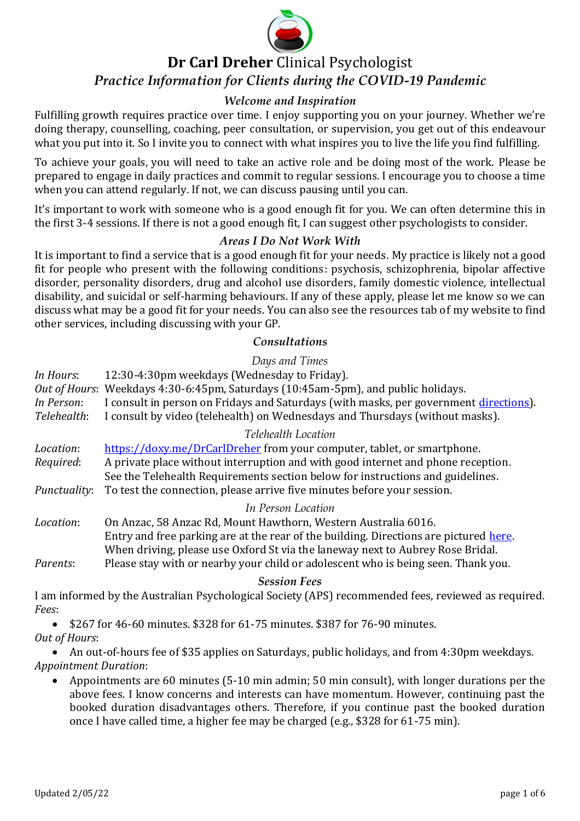

# **Dr Carl Dreher** Clinical Psychologist *Practice Information for Clients during the COVID-19 Pandemic*

# *Welcome and Inspiration*

Fulfilling growth requires practice over time. I enjoy supporting you on your journey. Whether we're doing therapy, counselling, coaching, peer consultation, or supervision, you get out of this endeavour what you put into it. So I invite you to connect with what inspires you to live the life you find fulfilling.

To achieve your goals, you will need to take an active role and be doing most of the work. Please be prepared to engage in daily practices and commit to regular sessions. I encourage you to choose a time when you can attend regularly. If not, we can discuss pausing until you can.

It's important to work with someone who is a good enough fit for you. We can often determine this in the first 3-4 sessions. If there is not a good enough fit, I can suggest other psychologists to consider.

## *Areas I Do Not Work With*

It is important to find a service that is a good enough fit for your needs. My practice is likely not a good fit for people who present with the following conditions: psychosis, schizophrenia, bipolar affective disorder, personality disorders, drug and alcohol use disorders, family domestic violence, intellectual disability, and suicidal or self-harming behaviours. If any of these apply, please let me know so we can discuss what may be a good fit for your needs. You can also see the resources tab of my website to find other services, including discussing with your GP.

## *Consultations*

## *Days and Times*

- *In Hours*: 12:30-4:30pm weekdays (Wednesday to Friday). *Out of Hours*: Weekdays 4:30-6:45pm, Saturdays (10:45am-5pm), and public holidays. *In Person*: I consult in person on Fridays and Saturdays (with masks, per government [directions\)](https://www.wa.gov.au/government/covid-19-coronavirus/covid-19-coronavirus-what-you-can-and-cant-do). *Telehealth*: I consult by video (telehealth) on Wednesdays and Thursdays (without masks). *Telehealth Location Location*: <https://doxy.me/DrCarlDreher> from your computer, tablet, or smartphone. *Required*: A private place without interruption and with good internet and phone reception. See the Telehealth Requirements section below for instructions and guidelines. *Punctuality*: To test the connection, please arrive five minutes before your session. *In Person Location Location*: On Anzac, 58 Anzac Rd, Mount Hawthorn, Western Australia 6016. Entry and free parking are at the rear of the building. Directions are pictured [here.](https://onanzac.com.au/contact-us/) When driving, please use Oxford St via the laneway next to Aubrey Rose Bridal.
- *Parents*: Please stay with or nearby your child or adolescent who is being seen. Thank you.

#### *Session Fees*

I am informed by the Australian Psychological Society (APS) recommended fees, reviewed as required. *Fees*:

• \$267 for 46-60 minutes. \$328 for 61-75 minutes. \$387 for 76-90 minutes. *Out of Hours*:

• An out-of-hours fee of \$35 applies on Saturdays, public holidays, and from 4:30pm weekdays. *Appointment Duration*:

• Appointments are 60 minutes (5-10 min admin; 50 min consult), with longer durations per the above fees. I know concerns and interests can have momentum. However, continuing past the booked duration disadvantages others. Therefore, if you continue past the booked duration once I have called time, a higher fee may be charged (e.g., \$328 for 61-75 min).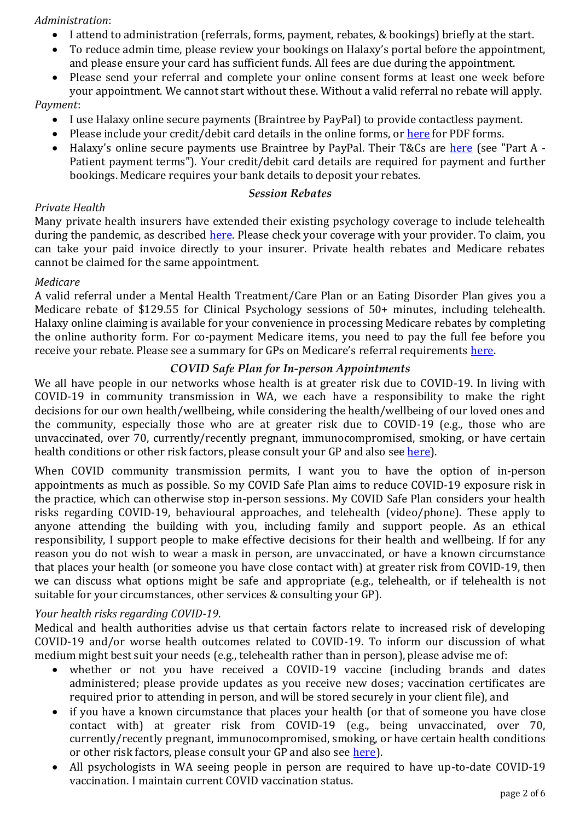## *Administration*:

- I attend to administration (referrals, forms, payment, rebates, & bookings) briefly at the start.
- To reduce admin time, please review your bookings on Halaxy's portal before the appointment, and please ensure your card has sufficient funds. All fees are due during the appointment.
- Please send your referral and complete your online consent forms at least one week before your appointment. We cannot start without these. Without a valid referral no rebate will apply.

## *Payment*:

- I use Halaxy online secure payments (Braintree by PayPal) to provide contactless payment.
- Please include your credit/debit card details in the online forms, or [here](https://drcarldreher.com.au/wp-content/uploads/2020/06/3.-Online-Authority-Form.pdf) for PDF forms.
- Halaxy's online secure payments use Braintree by PayPal. Their T&Cs are [here](https://www.halaxy.com/article/terms) (see "Part A Patient payment terms"). Your credit/debit card details are required for payment and further bookings. Medicare requires your bank details to deposit your rebates.

#### *Session Rebates*

## *Private Health*

Many private health insurers have extended their existing psychology coverage to include telehealth during the pandemic, as described [here.](https://www.privatehealthcareaustralia.org.au/private-health-insurance-during-covid-19/) Please check your coverage with your provider. To claim, you can take your paid invoice directly to your insurer. Private health rebates and Medicare rebates cannot be claimed for the same appointment.

## *Medicare*

A valid referral under a Mental Health Treatment/Care Plan or an Eating Disorder Plan gives you a Medicare rebate of \$129.55 for Clinical Psychology sessions of 50+ minutes, including telehealth. Halaxy online claiming is available for your convenience in processing Medicare rebates by completing the online authority form. For co-payment Medicare items, you need to pay the full fee before you receive your rebate. Please see a summary for GPs on Medicare's referral requirements [here.](https://drcarldreher.com.au/wp-content/uploads/2021/05/GP-MHTP-referral-requirements.zip)

#### *COVID Safe Plan for In-person Appointments*

We all have people in our networks whose health is at greater risk due to COVID-19. In living with COVID-19 in community transmission in WA, we each have a responsibility to make the right decisions for our own health/wellbeing, while considering the health/wellbeing of our loved ones and the community, especially those who are at greater risk due to COVID-19 (e.g., those who are unvaccinated, over 70, currently/recently pregnant, immunocompromised, smoking, or have certain health conditions or other risk factors, please consult your GP and also see [here\)](https://www.health.gov.au/health-alerts/covid-19/advice-for-groups-at-risk/risk-factors-for-more-serious-illness).

When COVID community transmission permits, I want you to have the option of in-person appointments as much as possible. So my COVID Safe Plan aims to reduce COVID-19 exposure risk in the practice, which can otherwise stop in-person sessions. My COVID Safe Plan considers your health risks regarding COVID-19, behavioural approaches, and telehealth (video/phone). These apply to anyone attending the building with you, including family and support people. As an ethical responsibility, I support people to make effective decisions for their health and wellbeing. If for any reason you do not wish to wear a mask in person, are unvaccinated, or have a known circumstance that places your health (or someone you have close contact with) at greater risk from COVID-19, then we can discuss what options might be safe and appropriate (e.g., telehealth, or if telehealth is not suitable for your circumstances, other services & consulting your GP).

## *Your health risks regarding COVID-19*.

Medical and health authorities advise us that certain factors relate to increased risk of developing COVID-19 and/or worse health outcomes related to COVID-19. To inform our discussion of what medium might best suit your needs (e.g., telehealth rather than in person), please advise me of:

- whether or not you have received a COVID-19 vaccine (including brands and dates administered; please provide updates as you receive new doses; vaccination certificates are required prior to attending in person, and will be stored securely in your client file), and
- if you have a known circumstance that places your health (or that of someone you have close contact with) at greater risk from COVID-19 (e.g., being unvaccinated, over 70, currently/recently pregnant, immunocompromised, smoking, or have certain health conditions or other risk factors, please consult your GP and also see [here\)](https://www.health.gov.au/health-alerts/covid-19/advice-for-groups-at-risk/risk-factors-for-more-serious-illness).
- All psychologists in WA seeing people in person are required to have up-to-date COVID-19 vaccination. I maintain current COVID vaccination status.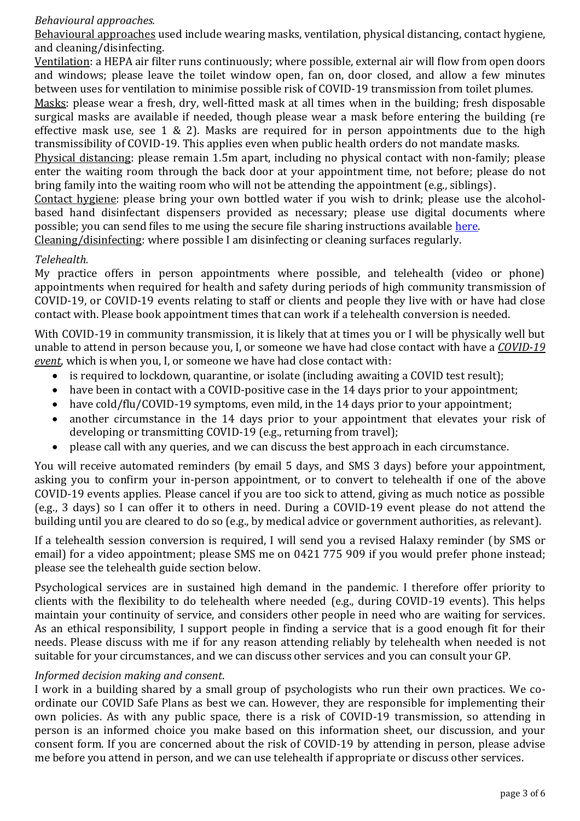## *Behavioural approaches.*

Behavioural approaches used include wearing masks, ventilation, physical distancing, contact hygiene, and cleaning/disinfecting.

Ventilation: a HEPA air filter runs continuously; where possible, external air will flow from open doors and windows; please leave the toilet window open, fan on, door closed, and allow a few minutes between uses for ventilation to minimise possible risk of COVID-19 transmission from toilet plumes.

Masks: please wear a fresh, dry, well-fitted mask at all times when in the building; fresh disposable surgical masks are available if needed, though please wear a mask before entering the building (re effective mask use, see [1](https://ozsage.org/media_releases/community-mask-use/) & [2\)](https://www.abc.net.au/news/2022-01-12/omicron-means-its-time-to-upgrade-your-mask/100741812?utm_campaign=abc_news_web&utm_content=link&utm_medium=content_shared&utm_source=abc_news_web). Masks are required for in person appointments due to the high transmissibility of COVID-19. This applies even when public health orders do not mandate masks.

Physical distancing: please remain 1.5m apart, including no physical contact with non-family; please enter the waiting room through the back door at your appointment time, not before; please do not bring family into the waiting room who will not be attending the appointment (e.g., siblings).

Contact hygiene: please bring your own bottled water if you wish to drink; please use the alcoholbased hand disinfectant dispensers provided as necessary; please use digital documents where possible; you can send files to me using the secure file sharing instructions available [here.](https://drcarldreher.com.au/wp-content/uploads/2022/01/2022-01-15_Securely-Sending-Your-Documents.pdf)

Cleaning/disinfecting: where possible I am disinfecting or cleaning surfaces regularly.

## *Telehealth.*

My practice offers in person appointments where possible, and telehealth (video or phone) appointments when required for health and safety during periods of high community transmission of COVID-19, or COVID-19 events relating to staff or clients and people they live with or have had close contact with. Please book appointment times that can work if a telehealth conversion is needed.

With COVID-19 in community transmission, it is likely that at times you or I will be physically well but unable to attend in person because you, I, or someone we have had close contact with have a *COVID-19 event*, which is when you, I, or someone we have had close contact with:

- is required to lockdown, quarantine, or isolate (including awaiting a COVID test result);
- have been in contact with a COVID-positive case in the 14 days prior to your appointment;
- have cold/flu/COVID-19 symptoms, even mild, in the 14 days prior to your appointment;
- another circumstance in the 14 days prior to your appointment that elevates your risk of developing or transmitting COVID-19 (e.g., returning from travel);
- please call with any queries, and we can discuss the best approach in each circumstance.

You will receive automated reminders (by email 5 days, and SMS 3 days) before your appointment, asking you to confirm your in-person appointment, or to convert to telehealth if one of the above COVID-19 events applies. Please cancel if you are too sick to attend, giving as much notice as possible (e.g., 3 days) so I can offer it to others in need. During a COVID-19 event please do not attend the building until you are cleared to do so (e.g., by medical advice or government authorities, as relevant).

If a telehealth session conversion is required, I will send you a revised Halaxy reminder (by SMS or email) for a video appointment; please SMS me on 0421 775 909 if you would prefer phone instead; please see the telehealth guide section below.

Psychological services are in sustained high demand in the pandemic. I therefore offer priority to clients with the flexibility to do telehealth where needed (e.g., during COVID-19 events). This helps maintain your continuity of service, and considers other people in need who are waiting for services. As an ethical responsibility, I support people in finding a service that is a good enough fit for their needs. Please discuss with me if for any reason attending reliably by telehealth when needed is not suitable for your circumstances, and we can discuss other services and you can consult your GP.

## *Informed decision making and consent*.

I work in a building shared by a small group of psychologists who run their own practices. We coordinate our COVID Safe Plans as best we can. However, they are responsible for implementing their own policies. As with any public space, there is a risk of COVID-19 transmission, so attending in person is an informed choice you make based on this information sheet, our discussion, and your consent form. If you are concerned about the risk of COVID-19 by attending in person, please advise me before you attend in person, and we can use telehealth if appropriate or discuss other services.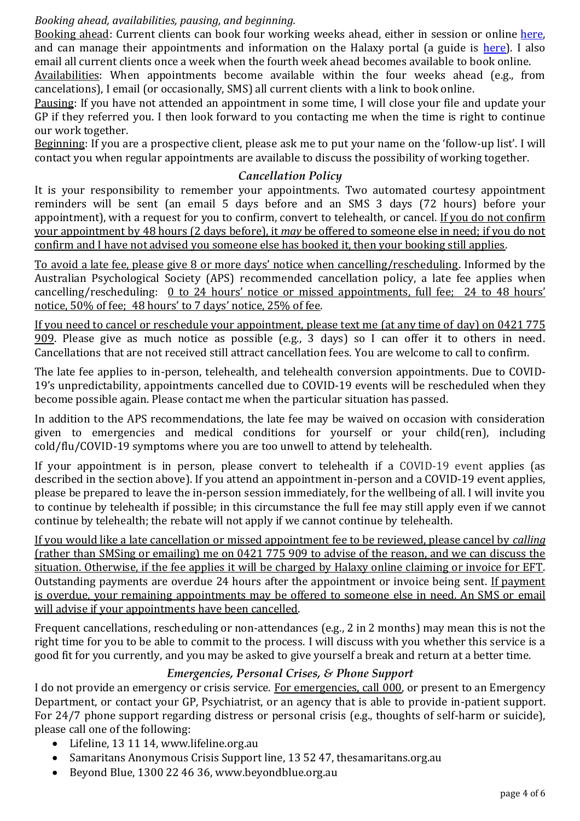## *Booking ahead, availabilities, pausing, and beginning.*

Booking ahead: Current clients can book four working weeks ahead, either in session or online [here,](https://www.halaxy.com/book/dr-carl-dreher/psychologist/406891/541281) and can manage their appointments and information on the Halaxy portal (a guide is [here\)](https://support.halaxy.com/hc/en-au/sections/360012180493-Patient-Portal). I also email all current clients once a week when the fourth week ahead becomes available to book online.

Availabilities: When appointments become available within the four weeks ahead (e.g., from cancelations), I email (or occasionally, SMS) all current clients with a link to book online.

Pausing: If you have not attended an appointment in some time, I will close your file and update your GP if they referred you. I then look forward to you contacting me when the time is right to continue our work together.

Beginning: If you are a prospective client, please ask me to put your name on the 'follow-up list'. I will contact you when regular appointments are available to discuss the possibility of working together.

## *Cancellation Policy*

It is your responsibility to remember your appointments. Two automated courtesy appointment reminders will be sent (an email 5 days before and an SMS 3 days (72 hours) before your appointment), with a request for you to confirm, convert to telehealth, or cancel. If you do not confirm your appointment by 48 hours (2 days before), it *may* be offered to someone else in need; if you do not confirm and I have not advised you someone else has booked it, then your booking still applies.

To avoid a late fee, please give 8 or more days' notice when cancelling/rescheduling. Informed by the Australian Psychological Society (APS) recommended cancellation policy, a late fee applies when cancelling/rescheduling: 0 to 24 hours' notice or missed appointments, full fee; 24 to 48 hours' notice, 50% of fee; 48 hours' to 7 days' notice, 25% of fee.

If you need to cancel or reschedule your appointment, please text me (at any time of day) on 0421 775 909. Please give as much notice as possible (e.g., 3 days) so I can offer it to others in need. Cancellations that are not received still attract cancellation fees. You are welcome to call to confirm.

The late fee applies to in-person, telehealth, and telehealth conversion appointments. Due to COVID-19's unpredictability, appointments cancelled due to COVID-19 events will be rescheduled when they become possible again. Please contact me when the particular situation has passed.

In addition to the APS recommendations, the late fee may be waived on occasion with consideration given to emergencies and medical conditions for yourself or your child(ren), including cold/flu/COVID-19 symptoms where you are too unwell to attend by telehealth.

If your appointment is in person, please convert to telehealth if a COVID-19 event applies (as described in the section above). If you attend an appointment in-person and a COVID-19 event applies, please be prepared to leave the in-person session immediately, for the wellbeing of all. I will invite you to continue by telehealth if possible; in this circumstance the full fee may still apply even if we cannot continue by telehealth; the rebate will not apply if we cannot continue by telehealth.

If you would like a late cancellation or missed appointment fee to be reviewed, please cancel by *calling* (rather than SMSing or emailing) me on 0421 775 909 to advise of the reason, and we can discuss the situation. Otherwise, if the fee applies it will be charged by Halaxy online claiming or invoice for EFT. Outstanding payments are overdue 24 hours after the appointment or invoice being sent. If payment is overdue, your remaining appointments may be offered to someone else in need. An SMS or email will advise if your appointments have been cancelled.

Frequent cancellations, rescheduling or non-attendances (e.g., 2 in 2 months) may mean this is not the right time for you to be able to commit to the process. I will discuss with you whether this service is a good fit for you currently, and you may be asked to give yourself a break and return at a better time.

# *Emergencies, Personal Crises, & Phone Support*

I do not provide an emergency or crisis service. For emergencies, call 000, or present to an Emergency Department, or contact your GP, Psychiatrist, or an agency that is able to provide in-patient support. For 24/7 phone support regarding distress or personal crisis (e.g., thoughts of self-harm or suicide), please call one of the following:

- Lifeline, 13 11 14, www.lifeline.org.au
- Samaritans Anonymous Crisis Support line, 13 52 47, thesamaritans.org.au
- Beyond Blue, 1300 22 46 36, www.beyondblue.org.au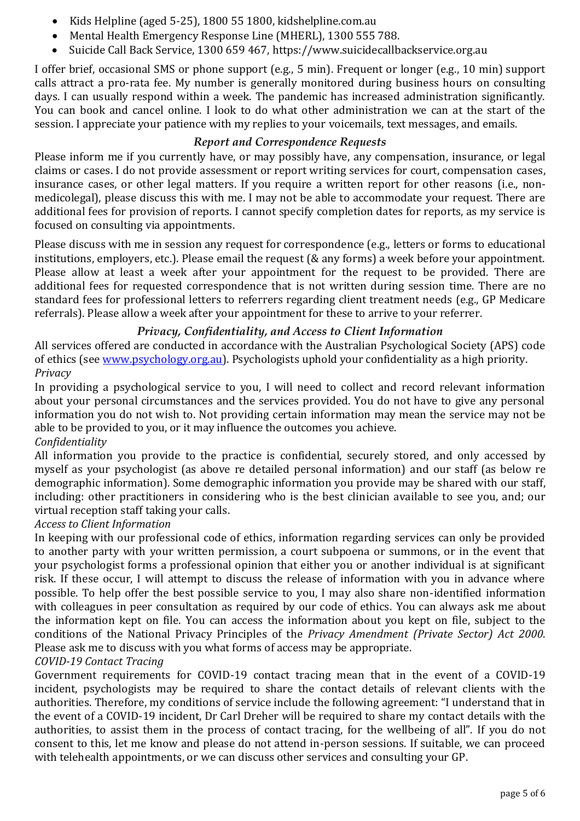- Kids Helpline (aged 5-25), 1800 55 1800, kidshelpline.com.au
- Mental Health Emergency Response Line (MHERL), 1300 555 788.
- Suicide Call Back Service, 1300 659 467, [https://www.suicidecallbackservice.org.au](https://www.suicidecallbackservice.org.au/)

I offer brief, occasional SMS or phone support (e.g., 5 min). Frequent or longer (e.g., 10 min) support calls attract a pro-rata fee. My number is generally monitored during business hours on consulting days. I can usually respond within a week. The pandemic has increased administration significantly. You can book and cancel online. I look to do what other administration we can at the start of the session. I appreciate your patience with my replies to your voicemails, text messages, and emails.

# *Report and Correspondence Requests*

Please inform me if you currently have, or may possibly have, any compensation, insurance, or legal claims or cases. I do not provide assessment or report writing services for court, compensation cases, insurance cases, or other legal matters. If you require a written report for other reasons (i.e., nonmedicolegal), please discuss this with me. I may not be able to accommodate your request. There are additional fees for provision of reports. I cannot specify completion dates for reports, as my service is focused on consulting via appointments.

Please discuss with me in session any request for correspondence (e.g., letters or forms to educational institutions, employers, etc.). Please email the request (& any forms) a week before your appointment. Please allow at least a week after your appointment for the request to be provided. There are additional fees for requested correspondence that is not written during session time. There are no standard fees for professional letters to referrers regarding client treatment needs (e.g., GP Medicare referrals). Please allow a week after your appointment for these to arrive to your referrer.

# *Privacy, Confidentiality, and Access to Client Information*

All services offered are conducted in accordance with the Australian Psychological Society (APS) code of ethics (see [www.psychology.org.au\)](http://www.psychology.org.au/). Psychologists uphold your confidentiality as a high priority. *Privacy*

In providing a psychological service to you, I will need to collect and record relevant information about your personal circumstances and the services provided. You do not have to give any personal information you do not wish to. Not providing certain information may mean the service may not be able to be provided to you, or it may influence the outcomes you achieve.

## *Confidentiality*

All information you provide to the practice is confidential, securely stored, and only accessed by myself as your psychologist (as above re detailed personal information) and our staff (as below re demographic information). Some demographic information you provide may be shared with our staff, including: other practitioners in considering who is the best clinician available to see you, and; our virtual reception staff taking your calls.

## *Access to Client Information*

In keeping with our professional code of ethics, information regarding services can only be provided to another party with your written permission, a court subpoena or summons, or in the event that your psychologist forms a professional opinion that either you or another individual is at significant risk. If these occur, I will attempt to discuss the release of information with you in advance where possible. To help offer the best possible service to you, I may also share non-identified information with colleagues in peer consultation as required by our code of ethics. You can always ask me about the information kept on file. You can access the information about you kept on file, subject to the conditions of the National Privacy Principles of the *Privacy Amendment (Private Sector) Act 2000*. Please ask me to discuss with you what forms of access may be appropriate.

## *COVID-19 Contact Tracing*

Government requirements for COVID-19 contact tracing mean that in the event of a COVID-19 incident, psychologists may be required to share the contact details of relevant clients with the authorities. Therefore, my conditions of service include the following agreement: "I understand that in the event of a COVID-19 incident, Dr Carl Dreher will be required to share my contact details with the authorities, to assist them in the process of contact tracing, for the wellbeing of all". If you do not consent to this, let me know and please do not attend in-person sessions. If suitable, we can proceed with telehealth appointments, or we can discuss other services and consulting your GP.